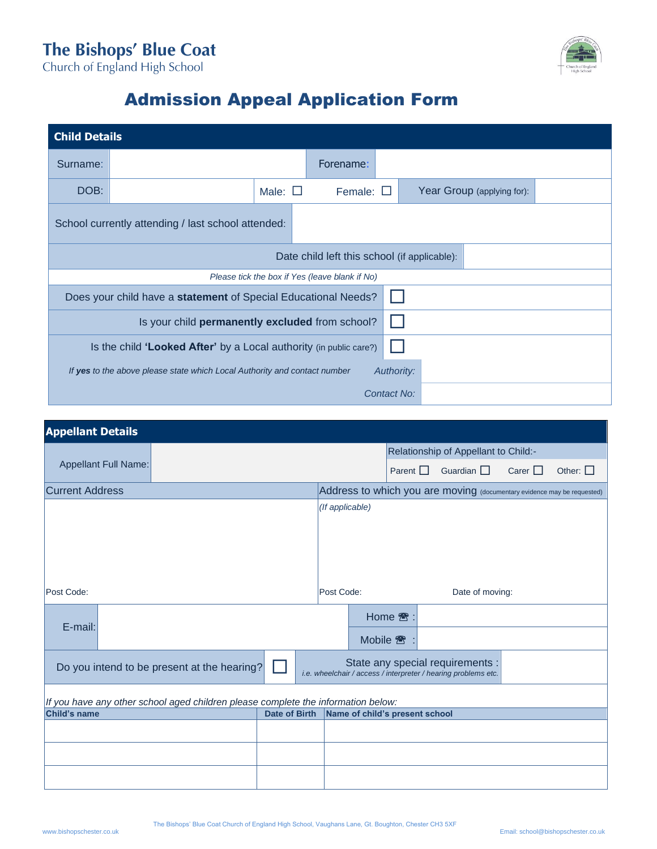## The Bishops' Blue Coat<br>Church of England High School



## Admission Appeal Application Form

| <b>Child Details</b>                                                                    |  |                 |                   |  |  |                            |  |
|-----------------------------------------------------------------------------------------|--|-----------------|-------------------|--|--|----------------------------|--|
| Surname:                                                                                |  |                 | Forename:         |  |  |                            |  |
| DOB:                                                                                    |  | Male: $\square$ | Female: $\square$ |  |  | Year Group (applying for): |  |
| School currently attending / last school attended:                                      |  |                 |                   |  |  |                            |  |
| Date child left this school (if applicable):                                            |  |                 |                   |  |  |                            |  |
| Please tick the box if Yes (leave blank if No)                                          |  |                 |                   |  |  |                            |  |
| Does your child have a statement of Special Educational Needs?                          |  |                 |                   |  |  |                            |  |
| Is your child permanently excluded from school?                                         |  |                 |                   |  |  |                            |  |
| Is the child 'Looked After' by a Local authority (in public care?)                      |  |                 |                   |  |  |                            |  |
| If yes to the above please state which Local Authority and contact number<br>Authority: |  |                 |                   |  |  |                            |  |
| Contact No:                                                                             |  |                 |                   |  |  |                            |  |

| <b>Appellant Details</b>                                                          |  |                 |                                                                                                    |               |                 |              |               |
|-----------------------------------------------------------------------------------|--|-----------------|----------------------------------------------------------------------------------------------------|---------------|-----------------|--------------|---------------|
| Appellant Full Name:                                                              |  |                 | Relationship of Appellant to Child:-                                                               |               |                 |              |               |
|                                                                                   |  |                 |                                                                                                    | Parent $\Box$ | Guardian $\Box$ | Carer $\Box$ | Other: $\Box$ |
| <b>Current Address</b>                                                            |  |                 | Address to which you are moving (documentary evidence may be requested)                            |               |                 |              |               |
|                                                                                   |  | (If applicable) |                                                                                                    |               |                 |              |               |
|                                                                                   |  |                 |                                                                                                    |               |                 |              |               |
|                                                                                   |  |                 |                                                                                                    |               |                 |              |               |
|                                                                                   |  |                 |                                                                                                    |               |                 |              |               |
|                                                                                   |  |                 |                                                                                                    |               |                 |              |               |
| Post Code:                                                                        |  |                 | Post Code:<br>Date of moving:                                                                      |               |                 |              |               |
|                                                                                   |  |                 | Home <sup></sup> :                                                                                 |               |                 |              |               |
| E-mail:                                                                           |  |                 |                                                                                                    |               |                 |              |               |
|                                                                                   |  |                 | Mobile <sup>2</sup>                                                                                |               |                 |              |               |
| Do you intend to be present at the hearing?                                       |  |                 | State any special requirements :<br>i.e. wheelchair / access / interpreter / hearing problems etc. |               |                 |              |               |
|                                                                                   |  |                 |                                                                                                    |               |                 |              |               |
| If you have any other school aged children please complete the information below: |  |                 |                                                                                                    |               |                 |              |               |
| <b>Child's name</b><br><b>Date of Birth</b>                                       |  |                 | Name of child's present school                                                                     |               |                 |              |               |
|                                                                                   |  |                 |                                                                                                    |               |                 |              |               |
|                                                                                   |  |                 |                                                                                                    |               |                 |              |               |
|                                                                                   |  |                 |                                                                                                    |               |                 |              |               |